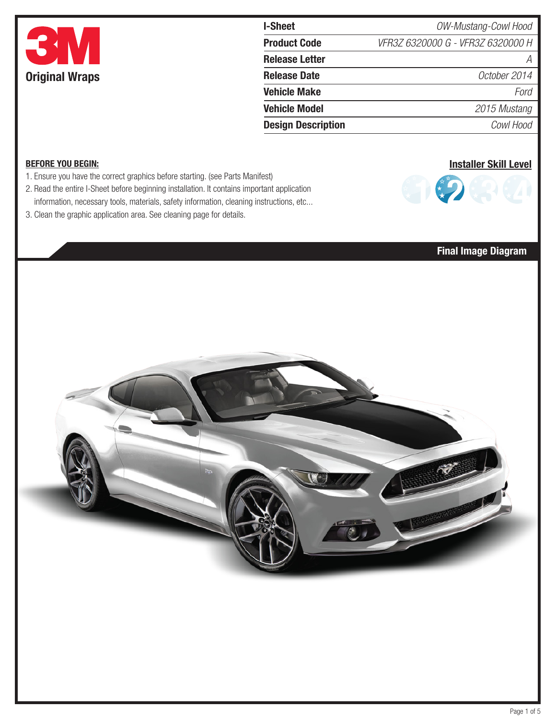

| I-Sheet                   | OW-Mustang-Cowl Hood              |  |  |
|---------------------------|-----------------------------------|--|--|
| <b>Product Code</b>       | VFR3Z 6320000 G - VFR3Z 6320000 H |  |  |
| <b>Release Letter</b>     | А                                 |  |  |
| <b>Release Date</b>       | October 2014                      |  |  |
| <b>Vehicle Make</b>       | Ford                              |  |  |
| <b>Vehicle Model</b>      | 2015 Mustang                      |  |  |
| <b>Design Description</b> | Cowl Hood                         |  |  |

### BEFORE YOU BEGIN:

- 1. Ensure you have the correct graphics before starting. (see Parts Manifest)
- 2. Read the entire I-Sheet before beginning installation. It contains important application information, necessary tools, materials, safety information, cleaning instructions, etc...
- 3. Clean the graphic application area. See cleaning page for details.



## Final Image Diagram

Installer Skill Level

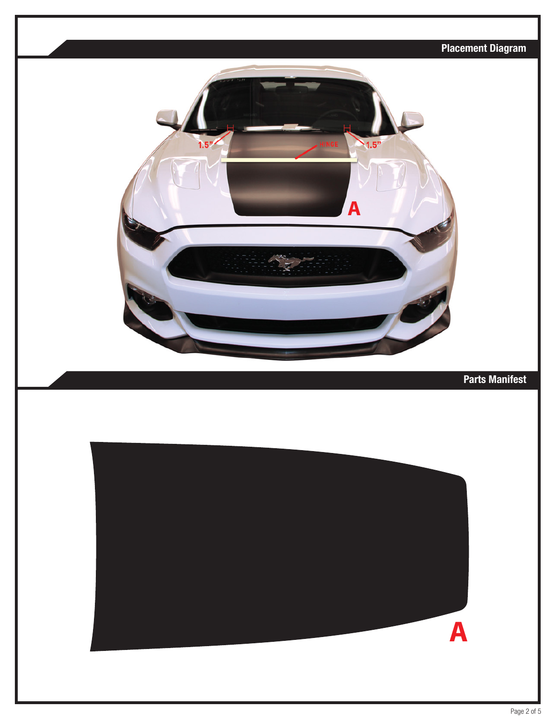# Placement Diagram  $1.5$ **A** Parts Manifest**A**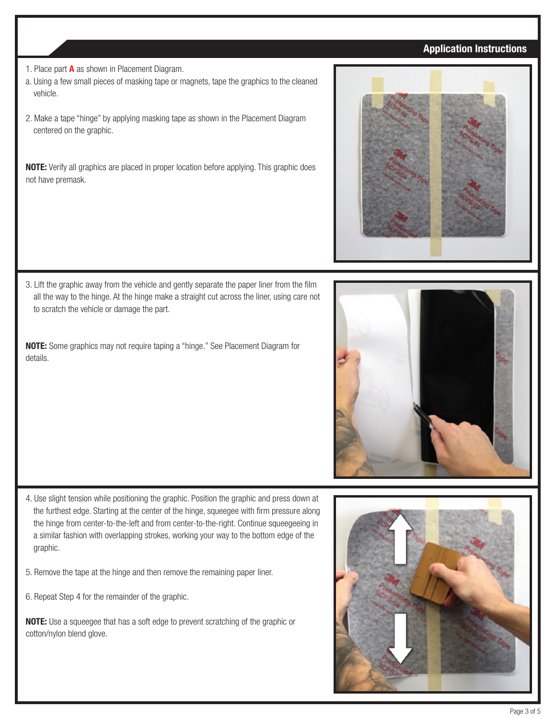### Application Instructions

- 1. Place part **A** as shown in Placement Diagram.
- a. Using a few small pieces of masking tape or magnets, tape the graphics to the cleaned vehicle.
- 2. Make a tape "hinge" by applying masking tape as shown in the Placement Diagram centered on the graphic.

NOTE: Verify all graphics are placed in proper location before applying. This graphic does not have premask.



3. Lift the graphic away from the vehicle and gently separate the paper liner from the film all the way to the hinge. At the hinge make a straight cut across the liner, using care not to scratch the vehicle or damage the part.

NOTE: Some graphics may not require taping a "hinge." See Placement Diagram for details.



- 4. Use slight tension while positioning the graphic. Position the graphic and press down at the furthest edge. Starting at the center of the hinge, squeegee with firm pressure along the hinge from center-to-the-left and from center-to-the-right. Continue squeegeeing in a similar fashion with overlapping strokes, working your way to the bottom edge of the graphic.
- 5. Remove the tape at the hinge and then remove the remaining paper liner.
- 6. Repeat Step 4 for the remainder of the graphic.

NOTE: Use a squeegee that has a soft edge to prevent scratching of the graphic or cotton/nylon blend glove.

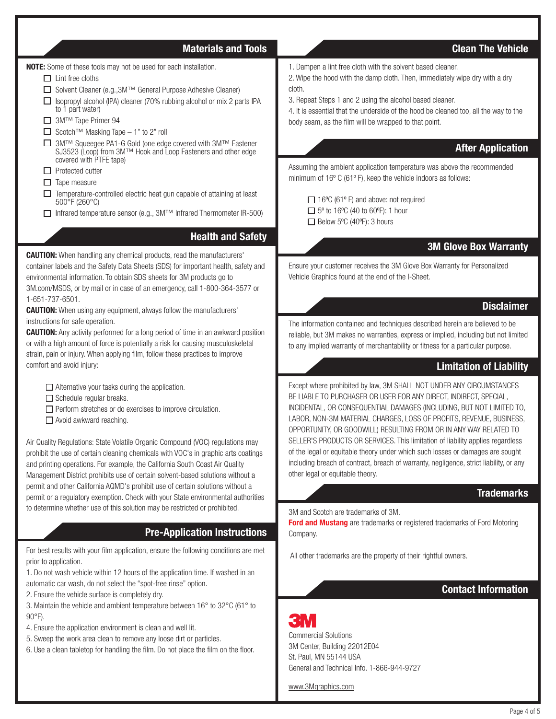### Materials and Tools Communication Clean The Vehicle

NOTE: Some of these tools may not be used for each installation.

- $\Box$  Lint free cloths
- Solvent Cleaner (e.g.,3M™ General Purpose Adhesive Cleaner)
- $\Box$  Isopropyl alcohol (IPA) cleaner (70% rubbing alcohol or mix 2 parts IPA to 1 part water)
- 3M™ Tape Primer 94
- $□$  Scotch™ Masking Tape 1" to 2" roll
- 3M™ Squeegee PA1-G Gold (one edge covered with 3M™ Fastener SJ3523 (Loop) from 3M™ Hook and Loop Fasteners and other edge covered with PTFE tape)
- $\Box$  Protected cutter
- $\Box$  Tape measure
- $\Box$  Temperature-controlled electric heat gun capable of attaining at least 500°F (260°C)
- Infrared temperature sensor (e.g., 3M™ Infrared Thermometer IR-500)

### Health and Safety

CAUTION: When handling any chemical products, read the manufacturers' container labels and the Safety Data Sheets (SDS) for important health, safety and environmental information. To obtain SDS sheets for 3M products go to

3M.com/MSDS, or by mail or in case of an emergency, call 1-800-364-3577 or 1-651-737-6501.

**CAUTION:** When using any equipment, always follow the manufacturers' instructions for safe operation.

**CAUTION:** Any activity performed for a long period of time in an awkward position or with a high amount of force is potentially a risk for causing musculoskeletal strain, pain or injury. When applying film, follow these practices to improve comfort and avoid injury:

 $\Box$  Alternative your tasks during the application.

 $\Box$  Schedule regular breaks.

 $\Box$  Perform stretches or do exercises to improve circulation.

□ Avoid awkward reaching.

Air Quality Regulations: State Volatile Organic Compound (VOC) regulations may prohibit the use of certain cleaning chemicals with VOC's in graphic arts coatings and printing operations. For example, the California South Coast Air Quality Management District prohibits use of certain solvent-based solutions without a permit and other California AQMD's prohibit use of certain solutions without a permit or a regulatory exemption. Check with your State environmental authorities to determine whether use of this solution may be restricted or prohibited.

## Pre-Application Instructions

For best results with your film application, ensure the following conditions are met prior to application.

1. Do not wash vehicle within 12 hours of the application time. If washed in an automatic car wash, do not select the "spot-free rinse" option.

2. Ensure the vehicle surface is completely dry.

3. Maintain the vehicle and ambient temperature between 16° to 32°C (61° to 90°F).

- 4. Ensure the application environment is clean and well lit.
- 5. Sweep the work area clean to remove any loose dirt or particles.
- 6. Use a clean tabletop for handling the film. Do not place the film on the floor.

1. Dampen a lint free cloth with the solvent based cleaner.

2. Wipe the hood with the damp cloth. Then, immediately wipe dry with a dry cloth.

3. Repeat Steps 1 and 2 using the alcohol based cleaner.

4. It is essential that the underside of the hood be cleaned too, all the way to the body seam, as the film will be wrapped to that point.

### After Application

Assuming the ambient application temperature was above the recommended minimum of 16º C (61º F), keep the vehicle indoors as follows:

□ 16°C (61° F) and above: not required  $\Box$  5° to 16°C (40 to 60°F): 1 hour  $\Box$  Below 5°C (40°F): 3 hours

### 3M Glove Box Warranty

Ensure your customer receives the 3M Glove Box Warranty for Personalized Vehicle Graphics found at the end of the I-Sheet.

### **Disclaimer**

The information contained and techniques described herein are believed to be reliable, but 3M makes no warranties, express or implied, including but not limited to any implied warranty of merchantability or fitness for a particular purpose.

### Limitation of Liability

Except where prohibited by law, 3M SHALL NOT UNDER ANY CIRCUMSTANCES BE LIABLE TO PURCHASER OR USER FOR ANY DIRECT, INDIRECT, SPECIAL, INCIDENTAL, OR CONSEQUENTIAL DAMAGES (INCLUDING, BUT NOT LIMITED TO, LABOR, NON-3M MATERIAL CHARGES, LOSS OF PROFITS, REVENUE, BUSINESS, OPPORTUNITY, OR GOODWILL) RESULTING FROM OR IN ANY WAY RELATED TO SELLER'S PRODUCTS OR SERVICES. This limitation of liability applies regardless of the legal or equitable theory under which such losses or damages are sought including breach of contract, breach of warranty, negligence, strict liability, or any other legal or equitable theory.

### **Trademarks**

### 3M and Scotch are trademarks of 3M.

**Ford and Mustang** are trademarks or registered trademarks of Ford Motoring Company.

All other trademarks are the property of their rightful owners.

### Contact Information

# Commercial Solutions 3M Center, Building 22012E04 St. Paul, MN 55144 USA General and Technical Info. 1-866-944-9727

www.3Mgraphics.com